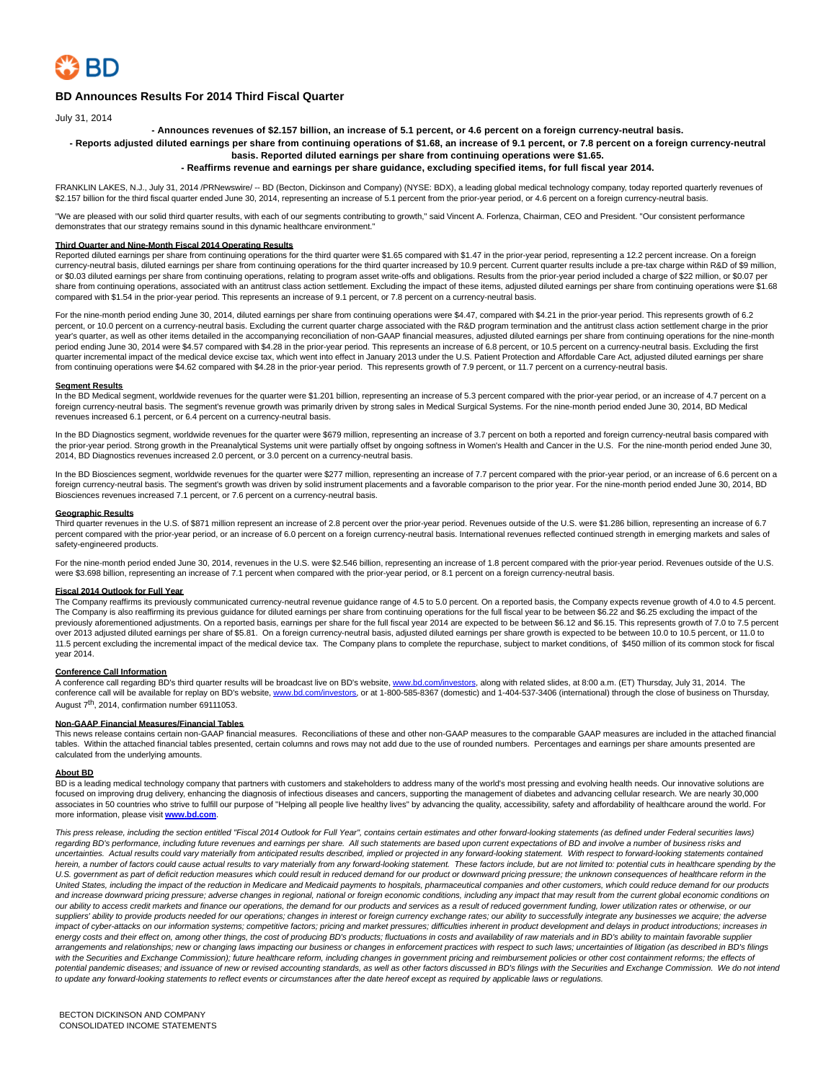

# **BD Announces Results For 2014 Third Fiscal Quarter**

July 31, 2014

**- Announces revenues of \$2.157 billion, an increase of 5.1 percent, or 4.6 percent on a foreign currency-neutral basis.**

**- Reports adjusted diluted earnings per share from continuing operations of \$1.68, an increase of 9.1 percent, or 7.8 percent on a foreign currency-neutral basis. Reported diluted earnings per share from continuing operations were \$1.65.**

# **- Reaffirms revenue and earnings per share guidance, excluding specified items, for full fiscal year 2014.**

FRANKLIN LAKES, N.J., July 31, 2014 /PRNewswire/ -- BD (Becton, Dickinson and Company) (NYSE: BDX), a leading global medical technology company, today reported quarterly revenues of \$2.157 billion for the third fiscal quarter ended June 30, 2014, representing an increase of 5.1 percent from the prior-year period, or 4.6 percent on a foreign currency-neutral basis.

"We are pleased with our solid third quarter results, with each of our segments contributing to growth," said Vincent A. Forlenza, Chairman, CEO and President. "Our consistent performance demonstrates that our strategy remains sound in this dynamic healthcare environment."

# **Third Quarter and Nine-Month Fiscal 2014 Operating Results**

Reported diluted earnings per share from continuing operations for the third quarter were \$1.65 compared with \$1.47 in the prior-year period, representing a 12.2 percent increase. On a foreign currency-neutral basis, diluted earnings per share from continuing operations for the third quarter increased by 10.9 percent. Current quarter results include a pre-tax charge within R&D of \$9 million, or \$0.03 diluted earnings per share from continuing operations, relating to program asset write-offs and obligations. Results from the prior-year period included a charge of \$22 million, or \$0.07 per share from continuing operations, associated with an antitrust class action settlement. Excluding the impact of these items, adjusted diluted earnings per share from continuing operations were \$1.68 compared with \$1.54 in the prior-year period. This represents an increase of 9.1 percent, or 7.8 percent on a currency-neutral basis.

For the nine-month period ending June 30, 2014, diluted earnings per share from continuing operations were \$4.47, compared with \$4.21 in the prior-year period. This represents growth of 6.2 percent, or 10.0 percent on a currency-neutral basis. Excluding the current quarter charge associated with the R&D program termination and the antitrust class action settlement charge in the prior .<br>year's quarter, as well as other items detailed in the accompanying reconciliation of non-GAAP financial measures, adjusted diluted earnings per share from continuing operations for the nine-month period ending June 30, 2014 were \$4.57 compared with \$4.28 in the prior-year period. This represents an increase of 6.8 percent, or 10.5 percent on a currency-neutral basis. Excluding the first quarter incremental impact of the medical device excise tax, which went into effect in January 2013 under the U.S. Patient Protection and Affordable Care Act, adjusted diluted earnings per share from continuing operations were \$4.62 compared with \$4.28 in the prior-year period. This represents growth of 7.9 percent, or 11.7 percent on a currency-neutral basis.

# **Segment Results**

In the BD Medical segment, worldwide revenues for the quarter were \$1.201 billion, representing an increase of 5.3 percent compared with the prior-year period, or an increase of 4.7 percent on a foreign currency-neutral basis. The segment's revenue growth was primarily driven by strong sales in Medical Surgical Systems. For the nine-month period ended June 30, 2014, BD Medical revenues increased 6.1 percent, or 6.4 percent on a currency-neutral basis.

In the BD Diagnostics segment, worldwide revenues for the quarter were \$679 million, representing an increase of 3.7 percent on both a reported and foreign currency-neutral basis compared with the prior-year period. Strong growth in the Preanalytical Systems unit were partially offset by ongoing softness in Women's Health and Cancer in the U.S. For the nine-month period ended June 30, 2014, BD Diagnostics revenues increased 2.0 percent, or 3.0 percent on a currency-neutral basis.

In the BD Biosciences segment, worldwide revenues for the quarter were \$277 million, representing an increase of 7.7 percent compared with the prior-year period, or an increase of 6.6 percent on a foreign currency-neutral basis. The segment's growth was driven by solid instrument placements and a favorable comparison to the prior year. For the nine-month period ended June 30, 2014, BD Biosciences revenues increased 7.1 percent, or 7.6 percent on a currency-neutral basis.

## **Geographic Results**

Third quarter revenues in the U.S. of \$871 million represent an increase of 2.8 percent over the prior-year period. Revenues outside of the U.S. were \$1.286 billion, representing an increase of 6.7 percent compared with the prior-year period, or an increase of 6.0 percent on a foreign currency-neutral basis. International revenues reflected continued strength in emerging markets and sales of safety-engineered products.

For the nine-month period ended June 30, 2014, revenues in the U.S. were \$2.546 billion, representing an increase of 1.8 percent compared with the prior-year period. Revenues outside of the U.S. were \$3.698 billion, representing an increase of 7.1 percent when compared with the prior-year period, or 8.1 percent on a foreign currency-neutral basis.

# **Fiscal 2014 Outlook for Full Year**

The Company reaffirms its previously communicated currency-neutral revenue guidance range of 4.5 to 5.0 percent. On a reported basis, the Company expects revenue growth of 4.0 to 4.5 percent. The Company is also reaffirming its previous guidance for diluted earnings per share from continuing operations for the full fiscal year to be between \$6.22 and \$6.25 excluding the impact of the previously aforementioned adjustments. On a reported basis, earnings per share for the full fiscal year 2014 are expected to be between \$6.12 and \$6.15. This represents growth of 7.0 to 7.5 percent over 2013 adjusted diluted earnings per share of \$5.81. On a foreign currency-neutral basis, adjusted diluted earnings per share growth is expected to be between 10.0 to 10.5 percent, or 11.0 to 11.5 percent excluding the incremental impact of the medical device tax. The Company plans to complete the repurchase, subject to market conditions, of \$450 million of its common stock for fiscal year 2014.

## **Conference Call Information**

A conference call regarding BD's third quarter results will be broadcast live on BD's website[, www.bd.com/investors,](http://www.bd.com/investors) along with related slides, at 8:00 a.m. (ET) Thursday, July 31, 2014. The conference call will be available for replay on BD's website, [www.bd.com/investors,](http://www.bd.com/investors) or at 1-800-585-8367 (domestic) and 1-404-537-3406 (international) through the close of business on Thursday, August 7<sup>th</sup>, 2014, confirmation number 69111053.

## **Non-GAAP Financial Measures/Financial Tables**

This news release contains certain non-GAAP financial measures. Reconciliations of these and other non-GAAP measures to the comparable GAAP measures are included in the attached financial tables. Within the attached financial tables presented, certain columns and rows may not add due to the use of rounded numbers. Percentages and earnings per share amounts presented are calculated from the underlying amounts.

## **About BD**

BD is a leading medical technology company that partners with customers and stakeholders to address many of the world's most pressing and evolving health needs. Our innovative solutions are focused on improving drug delivery, enhancing the diagnosis of infectious diseases and cancers, supporting the management of diabetes and advancing cellular research. We are nearly 30,000 associates in 50 countries who strive to fulfill our purpose of "Helping all people live healthy lives" by advancing the quality, accessibility, safety and affordability of healthcare around the world. For more information, please visit **www.bd.c** 

This press release, including the section entitled "Fiscal 2014 Outlook for Full Year", contains certain estimates and other forward-looking statements (as defined under Federal securities laws) regarding BD's performance, including future revenues and earnings per share. All such statements are based upon current expectations of BD and involve a number of business risks and uncertainties. Actual results could vary materially from anticipated results described, implied or projected in any forward-looking statement. With respect to forward-looking statements contained herein, a number of factors could cause actual results to vary materially from any forward-looking statement. These factors include, but are not limited to: potential cuts in healthcare spending by the U.S. government as part of deficit reduction measures which could result in reduced demand for our product or downward pricing pressure; the unknown consequences of healthcare reform in the United States, including the impact of the reduction in Medicare and Medicaid payments to hospitals, pharmaceutical companies and other customers, which could reduce demand for our products and increase downward pricing pressure; adverse changes in regional, national or foreign economic conditions, including any impact that may result from the current global economic conditions on our ability to access credit markets and finance our operations, the demand for our products and services as a result of reduced government funding, lower utilization rates or otherwise, or our suppliers' ability to provide products needed for our operations; changes in interest or foreign currency exchange rates; our ability to successfully integrate any businesses we acquire; the adverse impact of cyber-attacks on our information systems; competitive factors; pricing and market pressures; difficulties inherent in product development and delays in product introductions; increases in energy costs and their effect on, among other things, the cost of producing BD's products; fluctuations in costs and availability of raw materials and in BD's ability to maintain favorable supplier arrangements and relationships; new or changing laws impacting our business or changes in enforcement practices with respect to such laws; uncertainties of litigation (as described in BD's filings with the Securities and Exchange Commission); future healthcare reform, including changes in government pricing and reimbursement policies or other cost containment reforms; the effects of potential pandemic diseases; and issuance of new or revised accounting standards, as well as other factors discussed in BD's filings with the Securities and Exchange Commission. We do not intend to update any forward-looking statements to reflect events or circumstances after the date hereof except as required by applicable laws or regulations.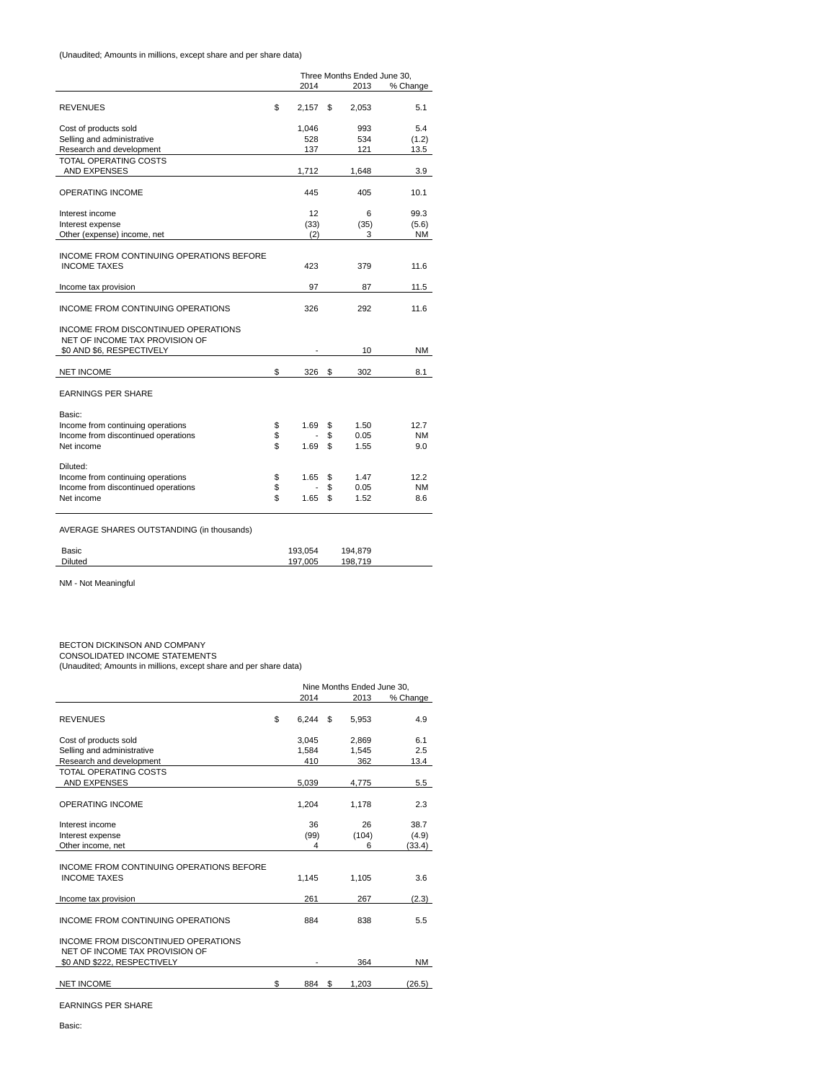(Unaudited; Amounts in millions, except share and per share data)

|                                                                       |          | Three Months Ended June 30, |    |       |           |  |
|-----------------------------------------------------------------------|----------|-----------------------------|----|-------|-----------|--|
|                                                                       |          | 2014                        |    | 2013  | % Change  |  |
| <b>REVENUES</b>                                                       | \$       | 2.157                       | \$ | 2,053 | 5.1       |  |
| Cost of products sold                                                 |          | 1,046                       |    | 993   | 5.4       |  |
| Selling and administrative                                            |          | 528                         |    | 534   | (1.2)     |  |
| Research and development                                              |          | 137                         |    | 121   | 13.5      |  |
| <b>TOTAL OPERATING COSTS</b>                                          |          |                             |    |       |           |  |
| AND EXPENSES                                                          |          | 1,712                       |    | 1,648 | 3.9       |  |
| <b>OPERATING INCOME</b>                                               |          | 445                         |    | 405   | 10.1      |  |
| Interest income                                                       |          | 12                          |    | 6     | 99.3      |  |
| Interest expense                                                      |          | (33)                        |    | (35)  | (5.6)     |  |
| Other (expense) income, net                                           |          | (2)                         |    | 3     | NM        |  |
| INCOME FROM CONTINUING OPERATIONS BEFORE<br><b>INCOME TAXES</b>       |          | 423                         |    | 379   | 11.6      |  |
|                                                                       |          |                             |    |       |           |  |
| Income tax provision                                                  |          | 97                          |    | 87    | 11.5      |  |
| <b>INCOME FROM CONTINUING OPERATIONS</b>                              |          | 326                         |    | 292   | 11.6      |  |
| INCOME FROM DISCONTINUED OPERATIONS<br>NET OF INCOME TAX PROVISION OF |          |                             |    |       |           |  |
| \$0 AND \$6, RESPECTIVELY                                             |          |                             |    | 10    | NM        |  |
| <b>NET INCOME</b>                                                     | \$       | 326                         | \$ | 302   | 8.1       |  |
| <b>EARNINGS PER SHARE</b>                                             |          |                             |    |       |           |  |
| Basic:<br>Income from continuing operations                           |          | 1.69                        | \$ | 1.50  | 12.7      |  |
| Income from discontinued operations                                   | \$<br>\$ |                             | \$ | 0.05  | <b>NM</b> |  |
| Net income                                                            | \$       | 1.69                        | \$ | 1.55  | 9.0       |  |
| Diluted:                                                              |          |                             |    |       |           |  |
| Income from continuing operations                                     | \$       | 1.65                        | \$ | 1.47  | 12.2      |  |
| Income from discontinued operations                                   | \$       |                             | \$ | 0.05  | NM        |  |
| Net income                                                            | \$       | 1.65                        | \$ | 1.52  | 8.6       |  |
|                                                                       |          |                             |    |       |           |  |
|                                                                       |          |                             |    |       |           |  |

AVERAGE SHARES OUTSTANDING (in thousands)

| Basic          | 193.054 | 194.879 |
|----------------|---------|---------|
| <b>Diluted</b> | 197.005 | 198.719 |
|                |         |         |

NM - Not Meaningful

BECTON DICKINSON AND COMPANY CONSOLIDATED INCOME STATEMENTS (Unaudited; Amounts in millions, except share and per share data)

|                                                                                                      | Nine Months Ended June 30, |    |       |           |  |
|------------------------------------------------------------------------------------------------------|----------------------------|----|-------|-----------|--|
|                                                                                                      | 2014                       |    | 2013  | % Change  |  |
| <b>REVENUES</b>                                                                                      | \$<br>6.244                | \$ | 5,953 | 4.9       |  |
| Cost of products sold                                                                                | 3,045                      |    | 2,869 | 6.1       |  |
| Selling and administrative                                                                           | 1,584                      |    | 1,545 | 2.5       |  |
| Research and development                                                                             | 410                        |    | 362   | 13.4      |  |
| TOTAL OPERATING COSTS                                                                                |                            |    |       |           |  |
| AND EXPENSES                                                                                         | 5,039                      |    | 4,775 | 5.5       |  |
| <b>OPERATING INCOME</b>                                                                              | 1,204                      |    | 1,178 | 2.3       |  |
| Interest income                                                                                      | 36                         |    | 26    | 38.7      |  |
| Interest expense                                                                                     | (99)                       |    | (104) | (4.9)     |  |
| Other income, net                                                                                    | 4                          |    | 6     | (33.4)    |  |
| INCOME FROM CONTINUING OPERATIONS BEFORE<br><b>INCOME TAXES</b>                                      | 1.145                      |    | 1.105 | 3.6       |  |
| Income tax provision                                                                                 | 261                        |    | 267   | (2.3)     |  |
| INCOME FROM CONTINUING OPERATIONS                                                                    | 884                        |    | 838   | 5.5       |  |
| INCOME FROM DISCONTINUED OPERATIONS<br>NET OF INCOME TAX PROVISION OF<br>\$0 AND \$222, RESPECTIVELY |                            |    | 364   | <b>NM</b> |  |
| <b>NET INCOME</b>                                                                                    | \$<br>884                  | \$ | 1,203 | (26.5)    |  |

EARNINGS PER SHARE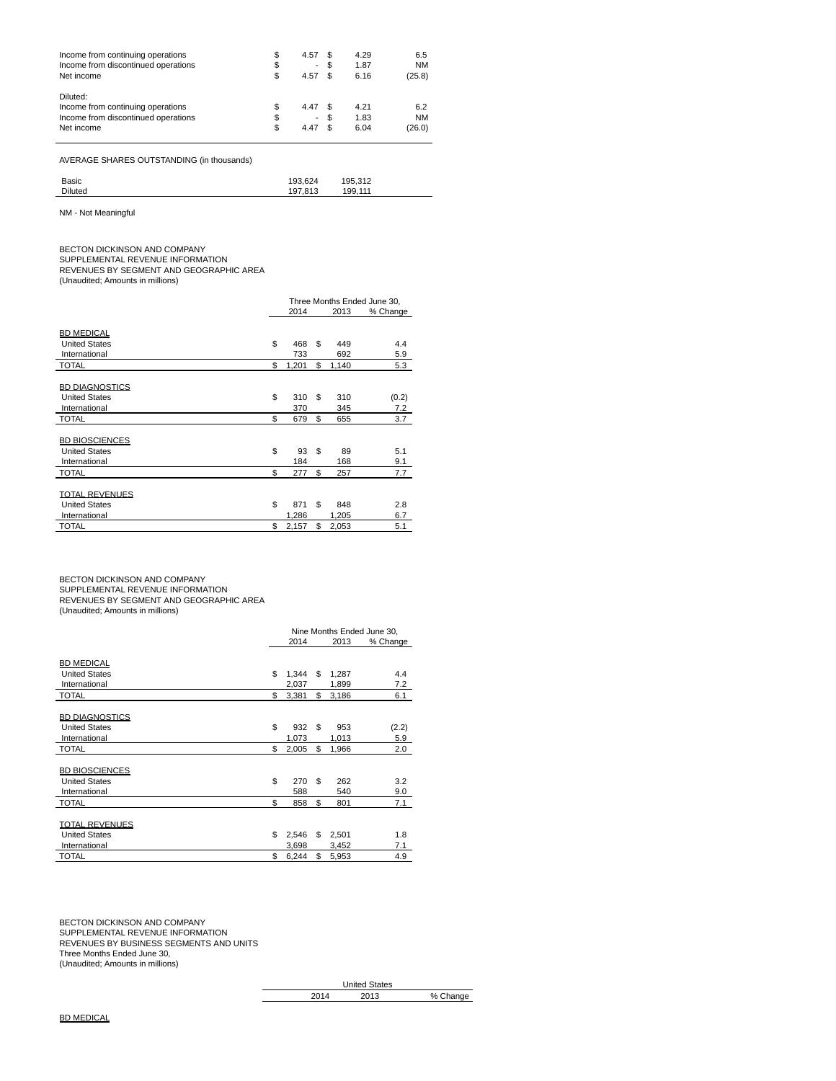| Income from continuing operations                                                                  | \$             | 4.57                           | \$<br>4.29                 | 6.5                        |
|----------------------------------------------------------------------------------------------------|----------------|--------------------------------|----------------------------|----------------------------|
| Income from discontinued operations                                                                | \$             | $\overline{\phantom{0}}$       | 1.87                       | <b>NM</b>                  |
| Net income                                                                                         | \$             | 4.57                           | 6.16                       | (25.8)                     |
| Diluted:<br>Income from continuing operations<br>Income from discontinued operations<br>Net income | \$<br>\$<br>\$ | 4.47<br>$\overline{a}$<br>4.47 | \$<br>4.21<br>1.83<br>6.04 | 6.2<br><b>NM</b><br>(26.0) |

AVERAGE SHARES OUTSTANDING (in thousands)

| Basic          | 193.624 | 195.312 |
|----------------|---------|---------|
| <b>Diluted</b> | 197.813 | 199.111 |
|                |         |         |

NM - Not Meaningful

BECTON DICKINSON AND COMPANY SUPPLEMENTAL REVENUE INFORMATION REVENUES BY SEGMENT AND GEOGRAPHIC AREA (Unaudited; Amounts in millions)

|                       | Three Months Ended June 30, |       |    |       |          |
|-----------------------|-----------------------------|-------|----|-------|----------|
|                       |                             | 2014  |    | 2013  | % Change |
|                       |                             |       |    |       |          |
| <b>BD MEDICAL</b>     |                             |       |    |       |          |
| <b>United States</b>  | \$                          | 468   | \$ | 449   | 4.4      |
| International         |                             | 733   |    | 692   | 5.9      |
| <b>TOTAL</b>          | \$                          | 1,201 | \$ | 1,140 | 5.3      |
|                       |                             |       |    |       |          |
| <b>BD DIAGNOSTICS</b> |                             |       |    |       |          |
| <b>United States</b>  | \$                          | 310   | \$ | 310   | (0.2)    |
| International         |                             | 370   |    | 345   | 7.2      |
| <b>TOTAL</b>          | \$                          | 679   | \$ | 655   | 3.7      |
|                       |                             |       |    |       |          |
| <b>BD BIOSCIENCES</b> |                             |       |    |       |          |
| <b>United States</b>  | \$                          | 93    | \$ | 89    | 5.1      |
| International         |                             | 184   |    | 168   | 9.1      |
| <b>TOTAL</b>          | \$                          | 277   | \$ | 257   | 7.7      |
|                       |                             |       |    |       |          |
| <b>TOTAL REVENUES</b> |                             |       |    |       |          |
| <b>United States</b>  | \$                          | 871   | \$ | 848   | 2.8      |
| International         |                             | 1,286 |    | 1,205 | 6.7      |
| <b>TOTAL</b>          | \$                          | 2,157 | \$ | 2,053 | 5.1      |

BECTON DICKINSON AND COMPANY<br>SUPPLEMENTAL REVENUE INFORMATION<br>REVENUES BY SEGMENT AND GEOGRAPHIC AREA<br>(Unaudited; Amounts in millions)

|                       | Nine Months Ended June 30, |       |    |       |          |  |
|-----------------------|----------------------------|-------|----|-------|----------|--|
|                       |                            | 2014  |    | 2013  | % Change |  |
| <b>BD MEDICAL</b>     |                            |       |    |       |          |  |
| <b>United States</b>  | \$                         | 1.344 | \$ | 1,287 | 4.4      |  |
| International         |                            | 2,037 |    | 1,899 | 7.2      |  |
| <b>TOTAL</b>          | \$                         | 3,381 | \$ | 3,186 | 6.1      |  |
|                       |                            |       |    |       |          |  |
| <b>BD DIAGNOSTICS</b> |                            |       |    |       |          |  |
| <b>United States</b>  | \$                         | 932   | \$ | 953   | (2.2)    |  |
| International         |                            | 1,073 |    | 1,013 | 5.9      |  |
| <b>TOTAL</b>          | \$                         | 2,005 | \$ | 1,966 | 2.0      |  |
|                       |                            |       |    |       |          |  |
| <b>BD BIOSCIENCES</b> |                            |       |    |       |          |  |
| <b>United States</b>  | \$                         | 270   | \$ | 262   | 3.2      |  |
| International         |                            | 588   |    | 540   | 9.0      |  |
| <b>TOTAL</b>          | \$                         | 858   | \$ | 801   | 7.1      |  |
|                       |                            |       |    |       |          |  |
| <b>TOTAL REVENUES</b> |                            |       |    |       |          |  |
| <b>United States</b>  | \$                         | 2,546 | \$ | 2,501 | 1.8      |  |
| International         |                            | 3,698 |    | 3,452 | 7.1      |  |
| <b>TOTAL</b>          | \$                         | 6,244 | \$ | 5,953 | 4.9      |  |

BECTON DICKINSON AND COMPANY SUPPLEMENTAL REVENUE INFORMATION REVENUES BY BUSINESS SEGMENTS AND UNITS Three Months Ended June 30, (Unaudited; Amounts in millions)

> United States 2014 2013 % Change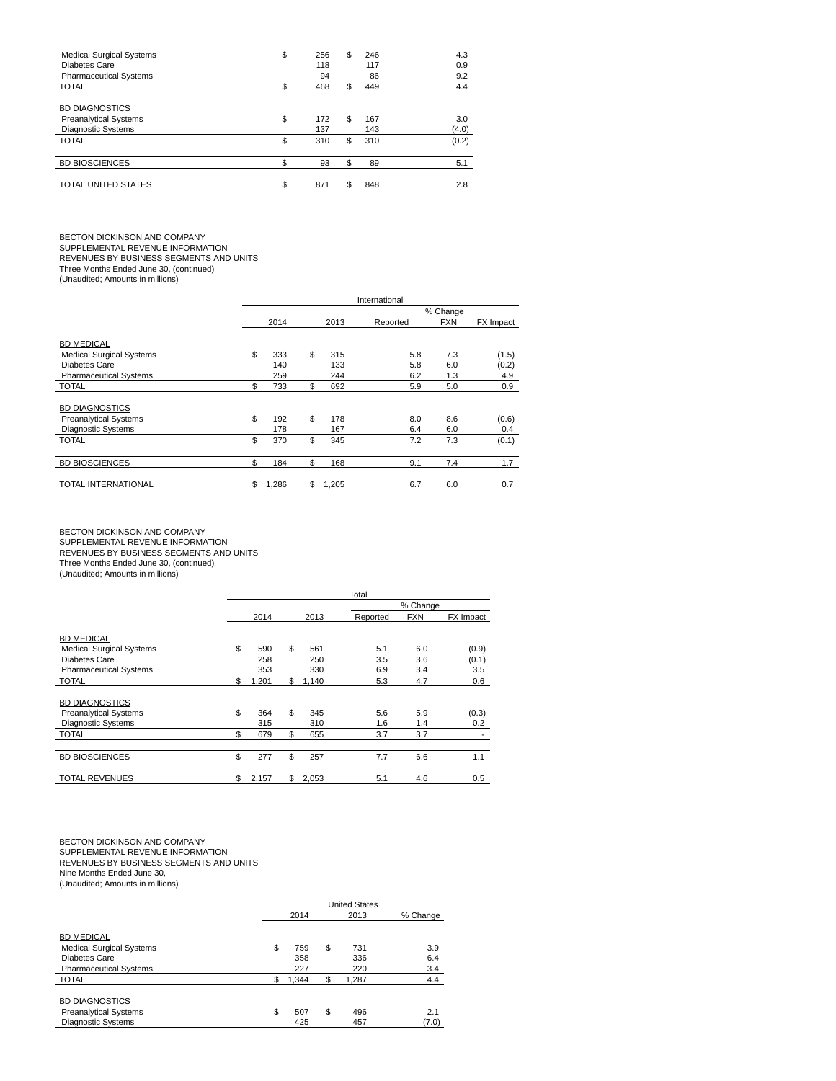| <b>Medical Surgical Systems</b> | \$ | 256 | \$<br>246 | 4.3   |
|---------------------------------|----|-----|-----------|-------|
| Diabetes Care                   |    | 118 | 117       | 0.9   |
| <b>Pharmaceutical Systems</b>   |    | 94  | 86        | 9.2   |
| <b>TOTAL</b>                    | ደ  | 468 | \$<br>449 | 4.4   |
|                                 |    |     |           |       |
| <b>BD DIAGNOSTICS</b>           |    |     |           |       |
| <b>Preanalytical Systems</b>    | \$ | 172 | \$<br>167 | 3.0   |
| <b>Diagnostic Systems</b>       |    | 137 | 143       | (4.0) |
| <b>TOTAL</b>                    | \$ | 310 | \$<br>310 | (0.2) |
|                                 |    |     |           |       |
| <b>BD BIOSCIENCES</b>           | \$ | 93  | \$<br>89  | 5.1   |
|                                 |    |     |           |       |
| <b>TOTAL UNITED STATES</b>      | \$ | 871 | \$<br>848 | 2.8   |
|                                 |    |     |           |       |

BECTON DICKINSON AND COMPANY SUPPLEMENTAL REVENUE INFORMATION REVENUES BY BUSINESS SEGMENTS AND UNITS

Three Months Ended June 30, (continued)

(Unaudited; Amounts in millions)

|                                 | International |       |    |       |          |            |           |  |  |
|---------------------------------|---------------|-------|----|-------|----------|------------|-----------|--|--|
|                                 |               |       |    |       |          | % Change   |           |  |  |
|                                 |               | 2014  |    | 2013  | Reported | <b>FXN</b> | FX Impact |  |  |
| <b>BD MEDICAL</b>               |               |       |    |       |          |            |           |  |  |
| <b>Medical Surgical Systems</b> | \$            | 333   | \$ | 315   | 5.8      | 7.3        | (1.5)     |  |  |
| Diabetes Care                   |               | 140   |    | 133   | 5.8      | 6.0        | (0.2)     |  |  |
| <b>Pharmaceutical Systems</b>   |               | 259   |    | 244   | 6.2      | 1.3        | 4.9       |  |  |
| <b>TOTAL</b>                    | \$            | 733   | \$ | 692   | 5.9      | 5.0        | 0.9       |  |  |
|                                 |               |       |    |       |          |            |           |  |  |
| <b>BD DIAGNOSTICS</b>           |               |       |    |       |          |            |           |  |  |
| <b>Preanalytical Systems</b>    | \$            | 192   | \$ | 178   | 8.0      | 8.6        | (0.6)     |  |  |
| <b>Diagnostic Systems</b>       |               | 178   |    | 167   | 6.4      | 6.0        | 0.4       |  |  |
| <b>TOTAL</b>                    | \$            | 370   | \$ | 345   | 7.2      | 7.3        | (0.1)     |  |  |
|                                 |               |       |    |       |          |            |           |  |  |
| <b>BD BIOSCIENCES</b>           | \$            | 184   | \$ | 168   | 9.1      | 7.4        | 1.7       |  |  |
|                                 |               |       |    |       |          |            |           |  |  |
| <b>TOTAL INTERNATIONAL</b>      | \$            | 1.286 | \$ | 1.205 | 6.7      | 6.0        | 0.7       |  |  |

BECTON DICKINSON AND COMPANY<br>SUPPLEMENTAL REVENUE INFORMATION<br>REVENUES BY BUSINESS SEGMENTS AND UNITS

Three Months Ended June 30, (continued) (Unaudited; Amounts in millions)

|  | (Unduction, Annual its in millions) |  |
|--|-------------------------------------|--|
|  |                                     |  |

|                                 | Total       |    |       |          |            |           |  |  |
|---------------------------------|-------------|----|-------|----------|------------|-----------|--|--|
|                                 |             |    |       |          | % Change   |           |  |  |
|                                 | 2014        |    | 2013  | Reported | <b>FXN</b> | FX Impact |  |  |
| <b>BD MEDICAL</b>               |             |    |       |          |            |           |  |  |
| <b>Medical Surgical Systems</b> | \$<br>590   | \$ | 561   | 5.1      | 6.0        | (0.9)     |  |  |
| Diabetes Care                   | 258         |    | 250   | 3.5      | 3.6        | (0.1)     |  |  |
| <b>Pharmaceutical Systems</b>   | 353         |    | 330   | 6.9      | 3.4        | 3.5       |  |  |
| <b>TOTAL</b>                    | \$<br>1,201 | \$ | 1,140 | 5.3      | 4.7        | 0.6       |  |  |
| <b>BD DIAGNOSTICS</b>           |             |    |       |          |            |           |  |  |
| <b>Preanalytical Systems</b>    | \$<br>364   | \$ | 345   | 5.6      | 5.9        | (0.3)     |  |  |
| <b>Diagnostic Systems</b>       | 315         |    | 310   | 1.6      | 1.4        | 0.2       |  |  |
| <b>TOTAL</b>                    | \$<br>679   | \$ | 655   | 3.7      | 3.7        |           |  |  |
|                                 |             |    |       |          |            |           |  |  |
| <b>BD BIOSCIENCES</b>           | \$<br>277   | \$ | 257   | 7.7      | 6.6        | 1.1       |  |  |
| <b>TOTAL REVENUES</b>           | \$<br>2,157 | \$ | 2.053 | 5.1      | 4.6        | 0.5       |  |  |

BECTON DICKINSON AND COMPANY<br>SUPPLEMENTAL REVENUE INFORMATION<br>REVENUES BY BUSINESS SEGMENTS AND UNITS<br>Nine Months Ended June 30,

(Unaudited; Amounts in millions)

United States<br>2013 2014 2013 % Change BD MEDICAL Medical Surgical Systems  $\begin{array}{cccc} \text{Wedical Surgical Systems} & \text{S} & \text{759} & \text{3731} & \text{3.9} \\ \text{Diabletes Care} & & & & 358 & \text{336} & \text{6.4} \end{array}$ Diabetes Care 358 336 6.4<br>
Pharmaceutical Systems 227 220 3.4 Pharmaceutical Systems TOTAL \$ 1,344 \$ 1,287 4.4 **BD DIAGNOSTICS** Preanalytical Systems  $\frac{1}{2}$  507 \$ 496 2.1<br>Diagnostic Systems 425 425 457 (7.0) Diagnostic Systems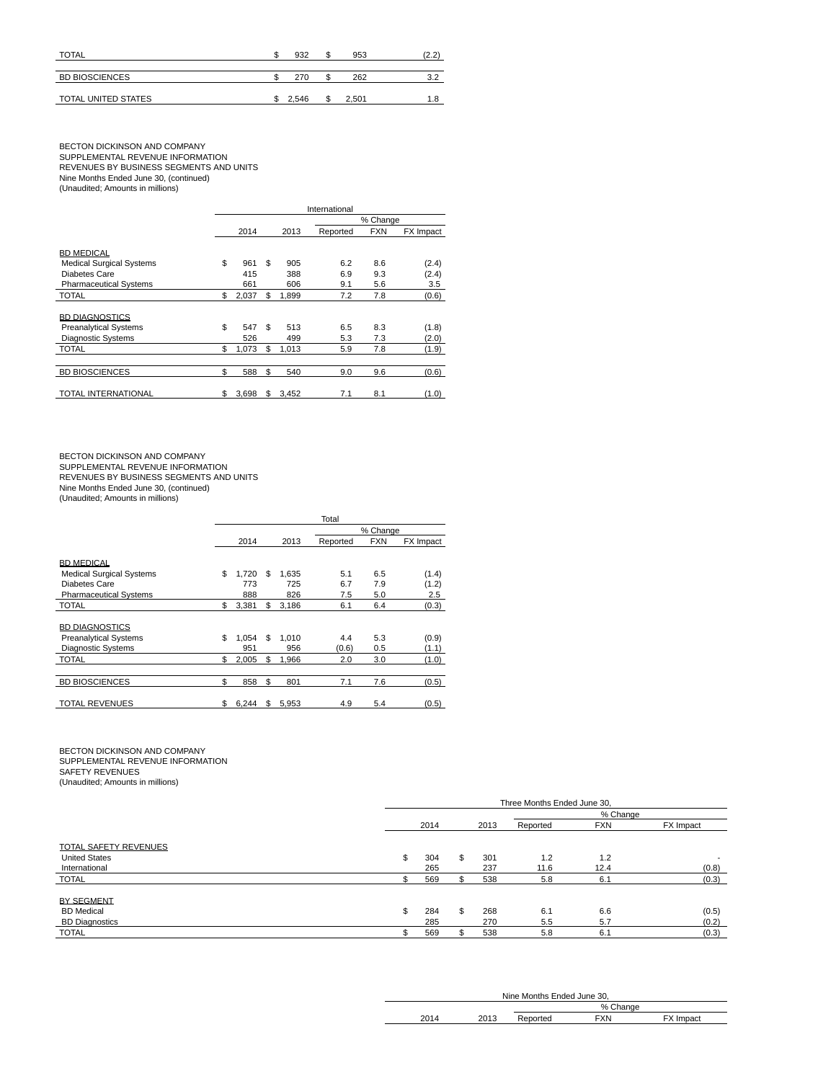| <b>TOTAL</b>          | 932   | ۰D | 953   | (2.2) |
|-----------------------|-------|----|-------|-------|
|                       |       |    |       |       |
| <b>BD BIOSCIENCES</b> | 270   | ۰D | 262   | 3.2   |
|                       |       |    |       |       |
| TOTAL UNITED STATES   | 2.546 | S. | 2.501 | 1.8   |

# BECTON DICKINSON AND COMPANY<br>SUPPLEMENTAL REVENUE INFORMATION<br>REVENUES BY BUSINESS SEGMENTS AND UNITS<br>Nine Months Ended June 30, (continued)<br>(Unaudited; Amounts in millions)

|                                 | International |       |    |          |          |            |           |  |  |  |  |
|---------------------------------|---------------|-------|----|----------|----------|------------|-----------|--|--|--|--|
|                                 |               |       |    | % Change |          |            |           |  |  |  |  |
|                                 |               | 2014  |    | 2013     | Reported | <b>FXN</b> | FX Impact |  |  |  |  |
| <b>BD MEDICAL</b>               |               |       |    |          |          |            |           |  |  |  |  |
| <b>Medical Surgical Systems</b> | \$            | 961   | \$ | 905      | 6.2      | 8.6        | (2.4)     |  |  |  |  |
| Diabetes Care                   |               | 415   |    | 388      | 6.9      | 9.3        | (2.4)     |  |  |  |  |
| <b>Pharmaceutical Systems</b>   |               | 661   |    | 606      | 9.1      | 5.6        | 3.5       |  |  |  |  |
| TOTAL                           | \$            | 2,037 | \$ | 1,899    | 7.2      | 7.8        | (0.6)     |  |  |  |  |
|                                 |               |       |    |          |          |            |           |  |  |  |  |
| <b>BD DIAGNOSTICS</b>           |               |       |    |          |          |            |           |  |  |  |  |
| <b>Preanalytical Systems</b>    | \$            | 547   | \$ | 513      | 6.5      | 8.3        | (1.8)     |  |  |  |  |
| <b>Diagnostic Systems</b>       |               | 526   |    | 499      | 5.3      | 7.3        | (2.0)     |  |  |  |  |
| TOTAL                           | \$            | 1,073 | \$ | 1,013    | 5.9      | 7.8        | (1.9)     |  |  |  |  |
|                                 |               |       |    |          |          |            |           |  |  |  |  |
| <b>BD BIOSCIENCES</b>           | \$            | 588   | \$ | 540      | 9.0      | 9.6        | (0.6)     |  |  |  |  |
|                                 |               |       |    |          |          |            |           |  |  |  |  |
| <b>TOTAL INTERNATIONAL</b>      | \$            | 3.698 | \$ | 3.452    | 7.1      | 8.1        | (1.0)     |  |  |  |  |

BECTON DICKINSON AND COMPANY<br>SUPPLEMENTAL REVENUE INFORMATION<br>REVENUES BY BUSINESS SEGMENTS AND UNITS

Nine Months Ended June 30, (continued) (Unaudited; Amounts in millions)

|                                 | Total    |       |    |       |          |            |           |  |  |  |  |
|---------------------------------|----------|-------|----|-------|----------|------------|-----------|--|--|--|--|
|                                 | % Change |       |    |       |          |            |           |  |  |  |  |
|                                 |          | 2014  |    | 2013  | Reported | <b>FXN</b> | FX Impact |  |  |  |  |
| <b>BD MEDICAL</b>               |          |       |    |       |          |            |           |  |  |  |  |
| <b>Medical Surgical Systems</b> | \$       | 1.720 | \$ | 1.635 | 5.1      | 6.5        | (1.4)     |  |  |  |  |
| Diabetes Care                   |          | 773   |    | 725   | 6.7      | 7.9        | (1.2)     |  |  |  |  |
| <b>Pharmaceutical Systems</b>   |          | 888   |    | 826   | 7.5      | 5.0        | 2.5       |  |  |  |  |
| <b>TOTAL</b>                    | \$       | 3,381 | \$ | 3,186 | 6.1      | 6.4        | (0.3)     |  |  |  |  |
| <b>BD DIAGNOSTICS</b>           |          |       |    |       |          |            |           |  |  |  |  |
| <b>Preanalytical Systems</b>    | \$       | 1.054 | \$ | 1.010 | 4.4      | 5.3        | (0.9)     |  |  |  |  |
| <b>Diagnostic Systems</b>       |          | 951   |    | 956   | (0.6)    | 0.5        | (1.1)     |  |  |  |  |
| <b>TOTAL</b>                    | \$       | 2,005 | \$ | 1,966 | 2.0      | 3.0        | (1.0)     |  |  |  |  |
|                                 |          |       |    |       |          |            |           |  |  |  |  |
| <b>BD BIOSCIENCES</b>           | \$       | 858   | \$ | 801   | 7.1      | 7.6        | (0.5)     |  |  |  |  |
| <b>TOTAL REVENUES</b>           | \$       | 6,244 | \$ | 5,953 | 4.9      | 5.4        | (0.5)     |  |  |  |  |

BECTON DICKINSON AND COMPANY<br>SUPPLEMENTAL REVENUE INFORMATION<br>SAFETY REVENUES (Unaudited; Amounts in millions)

|                              |     | Three Months Ended June 30, |    |      |          |            |                          |  |  |  |  |
|------------------------------|-----|-----------------------------|----|------|----------|------------|--------------------------|--|--|--|--|
|                              |     |                             |    |      | % Change |            |                          |  |  |  |  |
|                              |     | 2014                        |    | 2013 | Reported | <b>FXN</b> | FX Impact                |  |  |  |  |
| <b>TOTAL SAFETY REVENUES</b> |     |                             |    |      |          |            |                          |  |  |  |  |
| <b>United States</b>         | \$. | 304                         | \$ | 301  | 1.2      | 1.2        | $\overline{\phantom{a}}$ |  |  |  |  |
| International                |     | 265                         |    | 237  | 11.6     | 12.4       | (0.8)                    |  |  |  |  |
| <b>TOTAL</b>                 |     | 569                         |    | 538  | 5.8      | 6.1        | (0.3)                    |  |  |  |  |
| BY SEGMENT                   |     |                             |    |      |          |            |                          |  |  |  |  |
| <b>BD</b> Medical            | \$  | 284                         | \$ | 268  | 6.1      | 6.6        | (0.5)                    |  |  |  |  |
| <b>BD Diagnostics</b>        |     | 285                         |    | 270  | 5.5      | 5.7        | (0.2)                    |  |  |  |  |
| <b>TOTAL</b>                 |     | 569                         |    | 538  | 5.8      | 6.1        | (0.3)                    |  |  |  |  |

| Nine Months Ended June 30. |      |          |          |        |  |  |  |  |  |
|----------------------------|------|----------|----------|--------|--|--|--|--|--|
|                            |      |          | % Change |        |  |  |  |  |  |
|                            | 2012 | Reported | FXN      | Impact |  |  |  |  |  |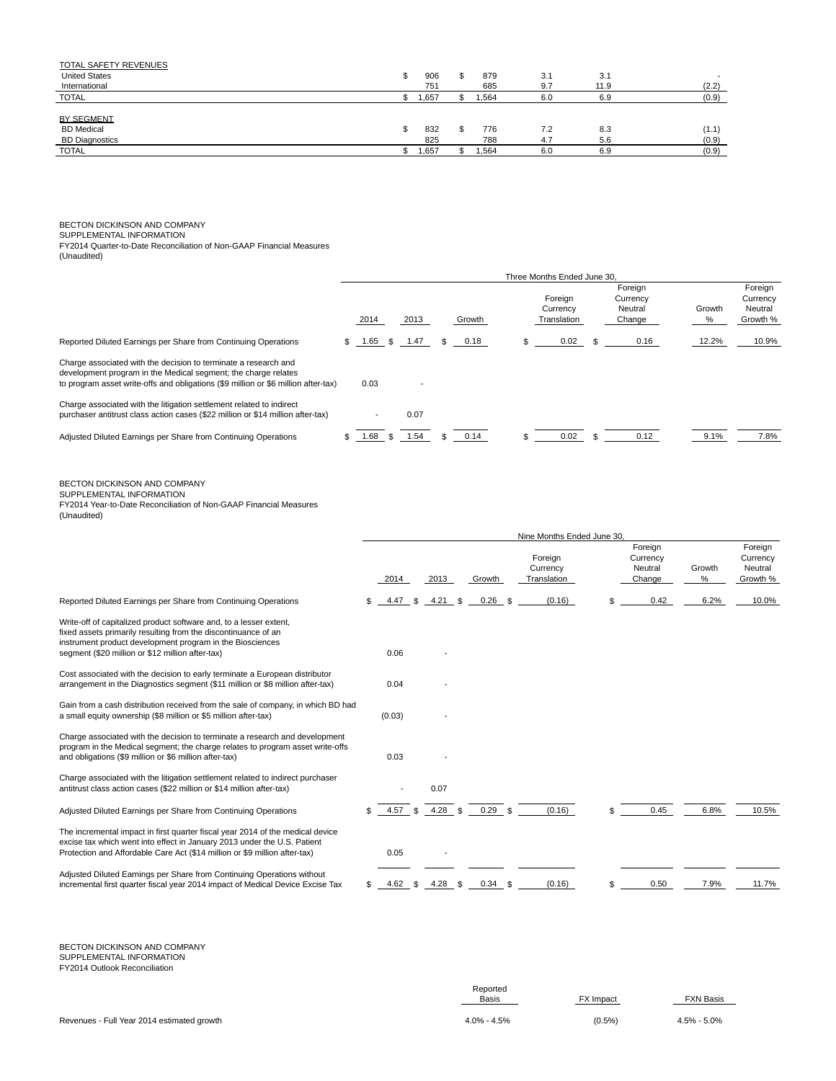| <b>TOTAL SAFETY REVENUES</b> |      |       |     |      |       |
|------------------------------|------|-------|-----|------|-------|
| <b>United States</b>         | 906  | 879   | 3.1 | 3.1  |       |
| International                | 751  | 685   | 9.7 | 11.9 | (2.2) |
| <b>TOTAL</b>                 | .657 | ,564  | 6.0 | 6.9  | (0.9) |
|                              |      |       |     |      |       |
| BY SEGMENT                   |      |       |     |      |       |
| <b>BD</b> Medical            | 832  | 776   | 7.2 | 8.3  | (1.1) |
| <b>BD Diagnostics</b>        | 825  | 788   | 4.7 | 5.6  | (0.9) |
| <b>TOTAL</b>                 | ,657 | 1,564 | 6.0 | 6.9  | (0.9) |

BECTON DICKINSON AND COMPANY<br>SUPPLEMENTAL INFORMATION<br>FY2014 Quarter-to-Date Reconciliation of Non-GAAP Financial Measures<br>(Unaudited)

|                                                                                                                                                                                                                                                       | Three Months Ended June 30. |      |        |      |      |         |           |    |                                    |      |                                          |                                          |                |                                            |
|-------------------------------------------------------------------------------------------------------------------------------------------------------------------------------------------------------------------------------------------------------|-----------------------------|------|--------|------|------|---------|-----------|----|------------------------------------|------|------------------------------------------|------------------------------------------|----------------|--------------------------------------------|
|                                                                                                                                                                                                                                                       |                             | 2014 |        | 2013 |      |         | Growth    |    | Foreign<br>Currency<br>Translation |      | Foreign<br>Currency<br>Neutral<br>Change |                                          | Growth<br>$\%$ | Foreign<br>Currency<br>Neutral<br>Growth % |
| Reported Diluted Earnings per Share from Continuing Operations                                                                                                                                                                                        | \$                          | 1.65 | \$.    | 1.47 |      | \$      | 0.18      | \$ |                                    | 0.02 | \$                                       | 0.16                                     | 12.2%          | 10.9%                                      |
| Charge associated with the decision to terminate a research and<br>development program in the Medical segment; the charge relates<br>to program asset write-offs and obligations (\$9 million or \$6 million after-tax)                               |                             | 0.03 |        |      |      |         |           |    |                                    |      |                                          |                                          |                |                                            |
| Charge associated with the litigation settlement related to indirect<br>purchaser antitrust class action cases (\$22 million or \$14 million after-tax)                                                                                               |                             |      |        | 0.07 |      |         |           |    |                                    |      |                                          |                                          |                |                                            |
| Adjusted Diluted Earnings per Share from Continuing Operations                                                                                                                                                                                        |                             | 1.68 | \$     | 1.54 |      |         | 0.14      |    |                                    | 0.02 | \$                                       | 0.12                                     | 9.1%           | 7.8%                                       |
| BECTON DICKINSON AND COMPANY<br>SUPPLEMENTAL INFORMATION<br>FY2014 Year-to-Date Reconciliation of Non-GAAP Financial Measures<br>(Unaudited)                                                                                                          |                             |      |        |      |      |         |           |    |                                    |      |                                          |                                          |                |                                            |
|                                                                                                                                                                                                                                                       |                             |      |        |      |      |         |           |    | Nine Months Ended June 30,         |      |                                          |                                          |                |                                            |
|                                                                                                                                                                                                                                                       |                             |      | 2014   |      | 2013 |         | Growth    |    | Foreign<br>Currency<br>Translation |      |                                          | Foreign<br>Currency<br>Neutral<br>Change | Growth<br>$\%$ | Foreign<br>Currency<br>Neutral<br>Growth % |
| Reported Diluted Earnings per Share from Continuing Operations                                                                                                                                                                                        |                             | \$   | 4.47   | \$   | 4.21 | \$      | 0.26      | \$ | (0.16)                             |      | \$                                       | 0.42                                     | 6.2%           | 10.0%                                      |
| Write-off of capitalized product software and, to a lesser extent,<br>fixed assets primarily resulting from the discontinuance of an<br>instrument product development program in the Biosciences<br>segment (\$20 million or \$12 million after-tax) |                             |      | 0.06   |      |      |         |           |    |                                    |      |                                          |                                          |                |                                            |
| Cost associated with the decision to early terminate a European distributor<br>arrangement in the Diagnostics segment (\$11 million or \$8 million after-tax)                                                                                         |                             |      | 0.04   |      |      |         |           |    |                                    |      |                                          |                                          |                |                                            |
| Gain from a cash distribution received from the sale of company, in which BD had<br>a small equity ownership (\$8 million or \$5 million after-tax)                                                                                                   |                             |      | (0.03) |      |      |         |           |    |                                    |      |                                          |                                          |                |                                            |
| Charge associated with the decision to terminate a research and development<br>program in the Medical segment; the charge relates to program asset write-offs<br>and obligations (\$9 million or \$6 million after-tax)                               |                             |      | 0.03   |      |      |         |           |    |                                    |      |                                          |                                          |                |                                            |
| Charge associated with the litigation settlement related to indirect purchaser<br>antitrust class action cases (\$22 million or \$14 million after-tax)                                                                                               |                             |      |        |      | 0.07 |         |           |    |                                    |      |                                          |                                          |                |                                            |
| Adjusted Diluted Earnings per Share from Continuing Operations                                                                                                                                                                                        |                             |      | 4.57   | \$   | 4.28 | \$      | 0.29      | \$ | (0.16)                             |      | \$                                       | 0.45                                     | 6.8%           | 10.5%                                      |
| The incremental impact in first quarter fiscal year 2014 of the medical device<br>excise tax which went into effect in January 2013 under the U.S. Patient<br>Protection and Affordable Care Act (\$14 million or \$9 million after-tax)              |                             |      | 0.05   |      |      |         |           |    |                                    |      |                                          |                                          |                |                                            |
| Adjusted Diluted Earnings per Share from Continuing Operations without<br>incremental first quarter fiscal year 2014 impact of Medical Device Excise Tax                                                                                              |                             | \$   | 4.62   | \$   |      | 4.28 \$ | $0.34$ \$ |    | (0.16)                             |      | \$                                       | 0.50                                     | 7.9%           | 11.7%                                      |

BECTON DICKINSON AND COMPANY SUPPLEMENTAL INFORMATION FY2014 Outlook Reconciliation

|                                            | Reported<br><b>Basis</b> | <b>FX</b> Impact<br><u> The Communication of the Communication of the Communication of the Communication of the Communication of the Communication of the Communication of the Communication of the Communication of the Communication of the Commun</u> | <b>FXN Basis</b> |
|--------------------------------------------|--------------------------|----------------------------------------------------------------------------------------------------------------------------------------------------------------------------------------------------------------------------------------------------------|------------------|
| Revenues - Full Year 2014 estimated growth | $4.0\% - 4.5\%$          | $(0.5\%)$                                                                                                                                                                                                                                                | $4.5\% - 5.0\%$  |